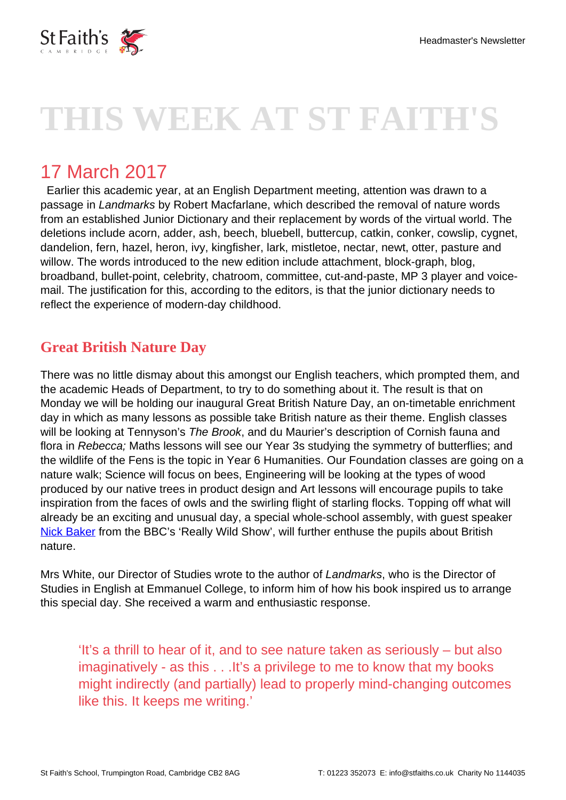

# **THIS WEEK AT ST FAITH'S**

# 17 March 2017

 Earlier this academic year, at an English Department meeting, attention was drawn to a passage in Landmarks by Robert Macfarlane, which described the removal of nature words from an established Junior Dictionary and their replacement by words of the virtual world. The deletions include acorn, adder, ash, beech, bluebell, buttercup, catkin, conker, cowslip, cygnet, dandelion, fern, hazel, heron, ivy, kingfisher, lark, mistletoe, nectar, newt, otter, pasture and willow. The words introduced to the new edition include attachment, block-graph, blog, broadband, bullet-point, celebrity, chatroom, committee, cut-and-paste, MP 3 player and voicemail. The justification for this, according to the editors, is that the junior dictionary needs to reflect the experience of modern-day childhood.

### **Great British Nature Day**

There was no little dismay about this amongst our English teachers, which prompted them, and the academic Heads of Department, to try to do something about it. The result is that on Monday we will be holding our inaugural Great British Nature Day, an on-timetable enrichment day in which as many lessons as possible take British nature as their theme. English classes will be looking at Tennyson's The Brook, and du Maurier's description of Cornish fauna and flora in Rebecca; Maths lessons will see our Year 3s studying the symmetry of butterflies; and the wildlife of the Fens is the topic in Year 6 Humanities. Our Foundation classes are going on a nature walk; Science will focus on bees, Engineering will be looking at the types of wood produced by our native trees in product design and Art lessons will encourage pupils to take inspiration from the faces of owls and the swirling flight of starling flocks. Topping off what will already be an exciting and unusual day, a special whole-school assembly, with guest speaker [Nick Baker](http://www.nickbaker.tv/) from the BBC's 'Really Wild Show', will further enthuse the pupils about British nature.

Mrs White, our Director of Studies wrote to the author of Landmarks, who is the Director of Studies in English at Emmanuel College, to inform him of how his book inspired us to arrange this special day. She received a warm and enthusiastic response.

'It's a thrill to hear of it, and to see nature taken as seriously – but also imaginatively - as this . . .It's a privilege to me to know that my books might indirectly (and partially) lead to properly mind-changing outcomes like this. It keeps me writing.'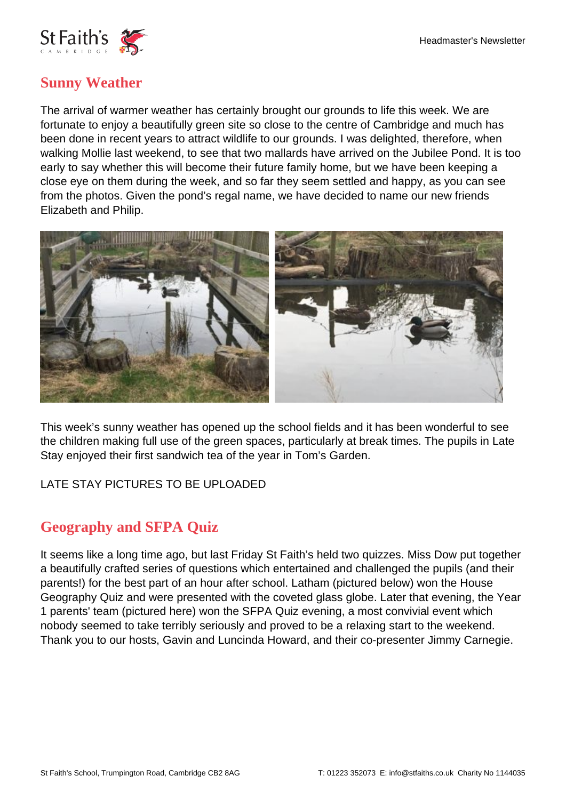

# **Sunny Weather**

The arrival of warmer weather has certainly brought our grounds to life this week. We are fortunate to enjoy a beautifully green site so close to the centre of Cambridge and much has been done in recent years to attract wildlife to our grounds. I was delighted, therefore, when walking Mollie last weekend, to see that two mallards have arrived on the Jubilee Pond. It is too early to say whether this will become their future family home, but we have been keeping a close eye on them during the week, and so far they seem settled and happy, as you can see from the photos. Given the pond's regal name, we have decided to name our new friends Elizabeth and Philip.



This week's sunny weather has opened up the school fields and it has been wonderful to see the children making full use of the green spaces, particularly at break times. The pupils in Late Stay enjoyed their first sandwich tea of the year in Tom's Garden.

LATE STAY PICTURES TO BE UPLOADED

# **Geography and SFPA Quiz**

It seems like a long time ago, but last Friday St Faith's held two quizzes. Miss Dow put together a beautifully crafted series of questions which entertained and challenged the pupils (and their parents!) for the best part of an hour after school. Latham (pictured below) won the House Geography Quiz and were presented with the coveted glass globe. Later that evening, the Year 1 parents' team (pictured here) won the SFPA Quiz evening, a most convivial event which nobody seemed to take terribly seriously and proved to be a relaxing start to the weekend. Thank you to our hosts, Gavin and Luncinda Howard, and their co-presenter Jimmy Carnegie.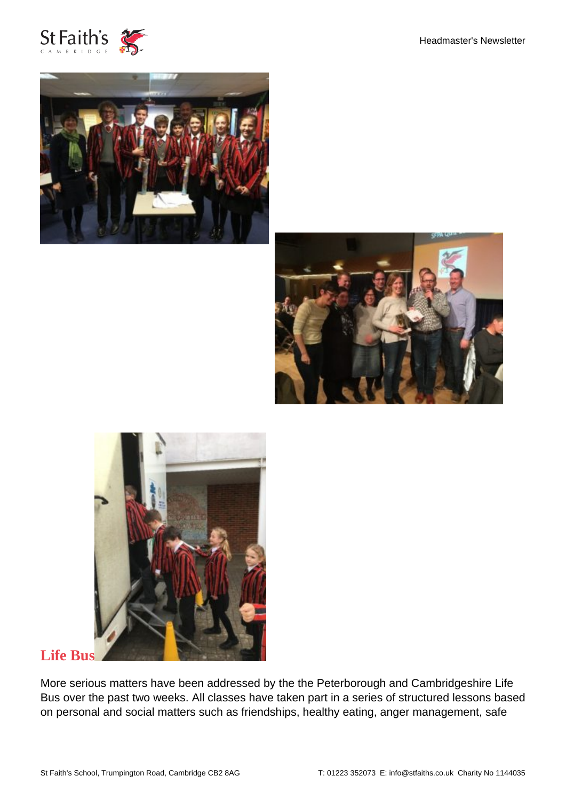









#### **Life Bus**

More serious matters have been addressed by the the Peterborough and Cambridgeshire Life Bus over the past two weeks. All classes have taken part in a series of structured lessons based on personal and social matters such as friendships, healthy eating, anger management, safe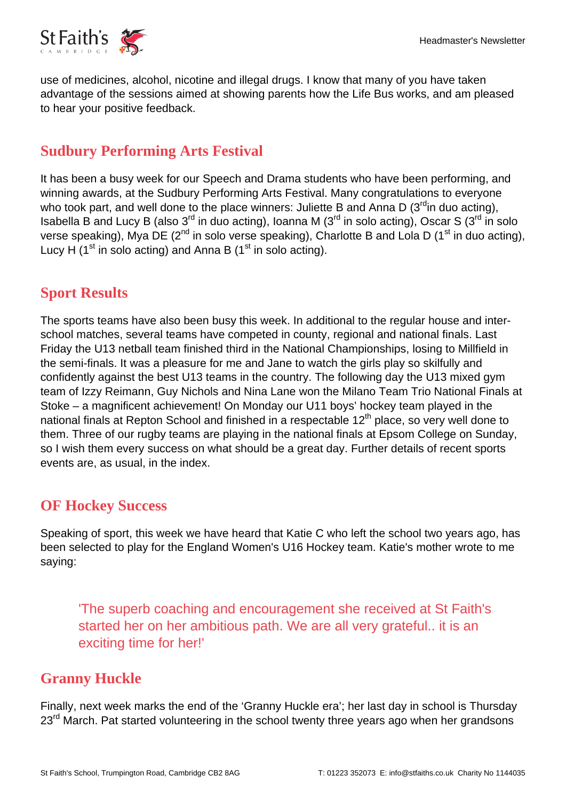

use of medicines, alcohol, nicotine and illegal drugs. I know that many of you have taken advantage of the sessions aimed at showing parents how the Life Bus works, and am pleased to hear your positive feedback.

#### **Sudbury Performing Arts Festival**

It has been a busy week for our Speech and Drama students who have been performing, and winning awards, at the Sudbury Performing Arts Festival. Many congratulations to everyone who took part, and well done to the place winners: Juliette B and Anna D  $(3<sup>rd</sup>$ in duo acting). Isabella B and Lucy B (also  $3^{\text{rd}}$  in duo acting), Ioanna M ( $3^{\text{rd}}$  in solo acting), Oscar S ( $3^{\text{rd}}$  in solo verse speaking), Mya DE ( $2^{nd}$  in solo verse speaking), Charlotte B and Lola D (1<sup>st</sup> in duo acting), Lucy H ( $1<sup>st</sup>$  in solo acting) and Anna B ( $1<sup>st</sup>$  in solo acting).

#### **Sport Results**

The sports teams have also been busy this week. In additional to the regular house and interschool matches, several teams have competed in county, regional and national finals. Last Friday the U13 netball team finished third in the National Championships, losing to Millfield in the semi-finals. It was a pleasure for me and Jane to watch the girls play so skilfully and confidently against the best U13 teams in the country. The following day the U13 mixed gym team of Izzy Reimann, Guy Nichols and Nina Lane won the Milano Team Trio National Finals at Stoke – a magnificent achievement! On Monday our U11 boys' hockey team played in the national finals at Repton School and finished in a respectable  $12<sup>th</sup>$  place, so very well done to them. Three of our rugby teams are playing in the national finals at Epsom College on Sunday, so I wish them every success on what should be a great day. Further details of recent sports events are, as usual, in the index.

#### **OF Hockey Success**

Speaking of sport, this week we have heard that Katie C who left the school two years ago, has been selected to play for the England Women's U16 Hockey team. Katie's mother wrote to me saying:

'The superb coaching and encouragement she received at St Faith's started her on her ambitious path. We are all very grateful.. it is an exciting time for her!'

#### **Granny Huckle**

Finally, next week marks the end of the 'Granny Huckle era'; her last day in school is Thursday 23<sup>rd</sup> March. Pat started volunteering in the school twenty three years ago when her grandsons